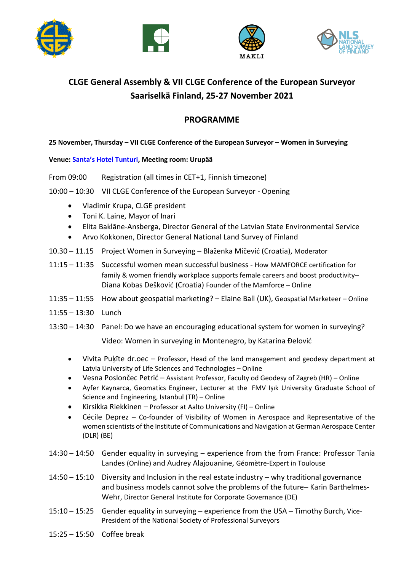







# **CLGE General Assembly & VII CLGE Conference of the European Surveyor Saariselkä Finland, 25-27 November 2021**

# **PROGRAMME**

## **25 November, Thursday – VII CLGE Conference of the European Surveyor – Women in Surveying**

### **Venue: [Santa's Hotel Tunturi](https://www.guestreservations.com/santas-hotel-tunturi/booking?msclkid=e7b7c6b8b4ad1e9f5ef9a7e97d103339), Meeting room: Urupää**

- From 09:00 Registration (all times in CET+1, Finnish timezone)
- 10:00 10:30 VII CLGE Conference of the European Surveyor Opening
	- Vladimir Krupa, CLGE president
	- Toni K. Laine, Mayor of Inari
	- Elita Baklāne-Ansberga, Director General of the Latvian State Environmental Service
	- Arvo Kokkonen, Director General National Land Survey of Finland
- 10.30 11.15 Project Women in Surveying Blaženka Mičević (Croatia), Moderator
- 11:15 11:35 Successful women mean successful business How MAMFORCE certification for family & women friendly workplace supports female careers and boost productivity– Diana Kobas Dešković (Croatia) Founder of the Mamforce – Online
- 11:35 11:55 How about geospatial marketing? Elaine Ball (UK), Geospatial Marketeer Online
- 11:55 13:30 Lunch
- 13:30 14:30 Panel: Do we have an encouraging educational system for women in surveying?

Video: Women in surveying in Montenegro, by Katarina Đelović

- Vivita Puķīte dr.oec Professor, Head of the land management and geodesy department at Latvia University of Life Sciences and Technologies – Online
- Vesna Poslončec Petrić Assistant Professor, Faculty od Geodesy of Zagreb (HR) Online
- Ayfer Kaynarca, Geomatics Engineer, Lecturer at the FMV Işık University Graduate School of Science and Engineering, Istanbul (TR) – Online
- Kirsikka Riekkinen Professor at Aalto University (FI) Online
- Cécile Deprez Co-founder of Visibility of Women in Aerospace and Representative of the women scientists of the Institute of Communications and Navigation at German Aerospace Center (DLR) (BE)
- 14:30 14:50 Gender equality in surveying experience from the from France: Professor Tania Landes (Online) and Audrey Alajouanine, Géomètre-Expert in Toulouse
- 14:50 15:10 Diversity and Inclusion in the real estate industry why traditional governance and business models cannot solve the problems of the future– Karin Barthelmes-Wehr, Director General Institute for Corporate Governance (DE)
- 15:10 15:25 Gender equality in surveying experience from the USA Timothy Burch, Vice-President of the National Society of Professional Surveyors
- 15:25 15:50 Coffee break